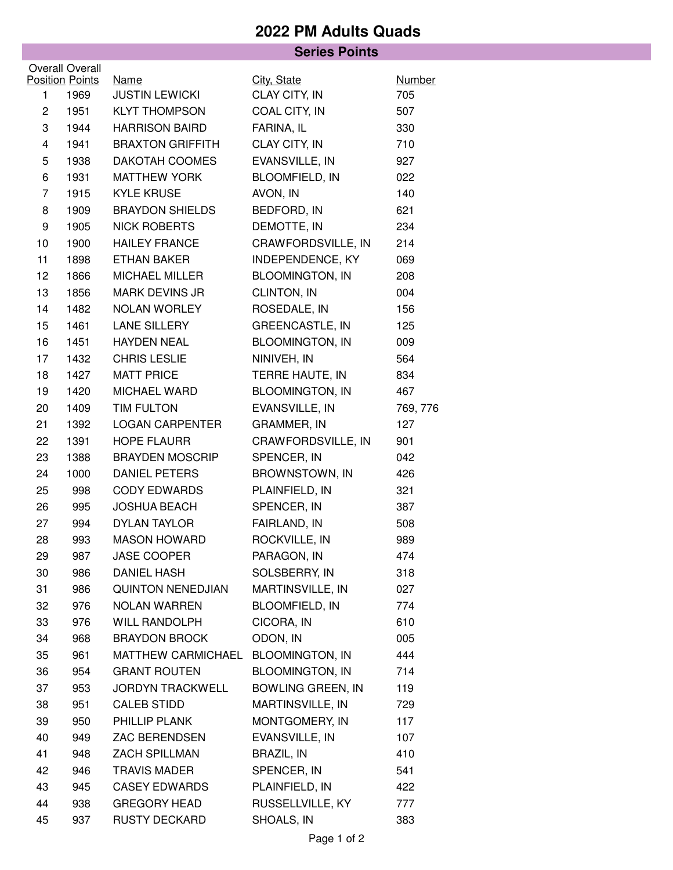## **2022 PM Adults Quads**

| <b>Series Points</b>   |                        |                          |                          |               |  |  |  |  |
|------------------------|------------------------|--------------------------|--------------------------|---------------|--|--|--|--|
| <b>Overall Overall</b> |                        |                          |                          |               |  |  |  |  |
|                        | <b>Position Points</b> | <b>Name</b>              | City, State              | <b>Number</b> |  |  |  |  |
| $\mathbf{1}$           | 1969                   | <b>JUSTIN LEWICKI</b>    | CLAY CITY, IN            | 705           |  |  |  |  |
| $\overline{c}$         | 1951                   | <b>KLYT THOMPSON</b>     | COAL CITY, IN            | 507           |  |  |  |  |
| 3                      | 1944                   | <b>HARRISON BAIRD</b>    | FARINA, IL               | 330           |  |  |  |  |
| 4                      | 1941                   | <b>BRAXTON GRIFFITH</b>  | CLAY CITY, IN            | 710           |  |  |  |  |
| 5                      | 1938                   | DAKOTAH COOMES           | EVANSVILLE, IN           | 927           |  |  |  |  |
| 6                      | 1931                   | <b>MATTHEW YORK</b>      | <b>BLOOMFIELD, IN</b>    | 022           |  |  |  |  |
| $\overline{7}$         | 1915                   | <b>KYLE KRUSE</b>        | AVON, IN                 | 140           |  |  |  |  |
| 8                      | 1909                   | <b>BRAYDON SHIELDS</b>   | BEDFORD, IN              | 621           |  |  |  |  |
| 9                      | 1905                   | <b>NICK ROBERTS</b>      | DEMOTTE, IN              | 234           |  |  |  |  |
| 10                     | 1900                   | <b>HAILEY FRANCE</b>     | CRAWFORDSVILLE, IN       | 214           |  |  |  |  |
| 11                     | 1898                   | <b>ETHAN BAKER</b>       | INDEPENDENCE, KY         | 069           |  |  |  |  |
| 12                     | 1866                   | MICHAEL MILLER           | <b>BLOOMINGTON, IN</b>   | 208           |  |  |  |  |
| 13                     | 1856                   | MARK DEVINS JR           | CLINTON, IN              | 004           |  |  |  |  |
| 14                     | 1482                   | NOLAN WORLEY             | ROSEDALE, IN             | 156           |  |  |  |  |
| 15                     | 1461                   | LANE SILLERY             | <b>GREENCASTLE, IN</b>   | 125           |  |  |  |  |
| 16                     | 1451                   | <b>HAYDEN NEAL</b>       | <b>BLOOMINGTON, IN</b>   | 009           |  |  |  |  |
| 17                     | 1432                   | <b>CHRIS LESLIE</b>      | NINIVEH, IN              | 564           |  |  |  |  |
| 18                     | 1427                   | <b>MATT PRICE</b>        | TERRE HAUTE, IN          | 834           |  |  |  |  |
| 19                     | 1420                   | MICHAEL WARD             | <b>BLOOMINGTON, IN</b>   | 467           |  |  |  |  |
| 20                     | 1409                   | TIM FULTON               | EVANSVILLE, IN           | 769, 776      |  |  |  |  |
| 21                     | 1392                   | <b>LOGAN CARPENTER</b>   | GRAMMER, IN              | 127           |  |  |  |  |
| 22                     | 1391                   | <b>HOPE FLAURR</b>       | CRAWFORDSVILLE, IN       | 901           |  |  |  |  |
| 23                     | 1388                   | <b>BRAYDEN MOSCRIP</b>   | SPENCER, IN              | 042           |  |  |  |  |
| 24                     | 1000                   | DANIEL PETERS            | BROWNSTOWN, IN           | 426           |  |  |  |  |
| 25                     | 998                    | <b>CODY EDWARDS</b>      | PLAINFIELD, IN           | 321           |  |  |  |  |
| 26                     | 995                    | <b>JOSHUA BEACH</b>      | SPENCER, IN              | 387           |  |  |  |  |
| 27                     | 994                    | <b>DYLAN TAYLOR</b>      | FAIRLAND, IN             | 508           |  |  |  |  |
| 28                     | 993                    | <b>MASON HOWARD</b>      | ROCKVILLE, IN            | 989           |  |  |  |  |
| 29                     | 987                    | JASE COOPER              | PARAGON, IN              | 474           |  |  |  |  |
| 30                     | 986                    | <b>DANIEL HASH</b>       | SOLSBERRY, IN            | 318           |  |  |  |  |
| 31                     | 986                    | <b>QUINTON NENEDJIAN</b> | MARTINSVILLE, IN         | 027           |  |  |  |  |
| 32                     | 976                    | <b>NOLAN WARREN</b>      | <b>BLOOMFIELD, IN</b>    | 774           |  |  |  |  |
| 33                     | 976                    | WILL RANDOLPH            | CICORA, IN               | 610           |  |  |  |  |
| 34                     | 968                    | <b>BRAYDON BROCK</b>     | ODON, IN                 | 005           |  |  |  |  |
| 35                     | 961                    | MATTHEW CARMICHAEL       | <b>BLOOMINGTON, IN</b>   | 444           |  |  |  |  |
| 36                     | 954                    | <b>GRANT ROUTEN</b>      | <b>BLOOMINGTON, IN</b>   | 714           |  |  |  |  |
| 37                     | 953                    | <b>JORDYN TRACKWELL</b>  | <b>BOWLING GREEN, IN</b> | 119           |  |  |  |  |
| 38                     | 951                    | <b>CALEB STIDD</b>       | MARTINSVILLE, IN         | 729           |  |  |  |  |
| 39                     | 950                    | PHILLIP PLANK            | MONTGOMERY, IN           | 117           |  |  |  |  |
| 40                     | 949                    | ZAC BERENDSEN            | EVANSVILLE, IN           | 107           |  |  |  |  |
| 41                     | 948                    | ZACH SPILLMAN            | <b>BRAZIL, IN</b>        | 410           |  |  |  |  |
| 42                     | 946                    | <b>TRAVIS MADER</b>      | SPENCER, IN              | 541           |  |  |  |  |
| 43                     | 945                    | <b>CASEY EDWARDS</b>     | PLAINFIELD, IN           | 422           |  |  |  |  |
| 44                     | 938                    | <b>GREGORY HEAD</b>      | RUSSELLVILLE, KY         | 777           |  |  |  |  |
| 45                     | 937                    | <b>RUSTY DECKARD</b>     | SHOALS, IN               | 383           |  |  |  |  |